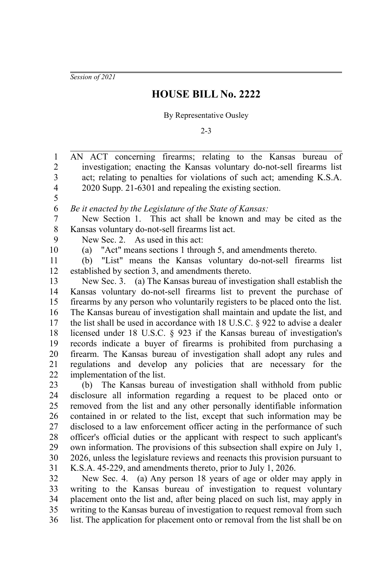*Session of 2021*

## **HOUSE BILL No. 2222**

## By Representative Ousley

2-3

| $\mathbf{1}$     | AN ACT concerning firearms; relating to the Kansas bureau of                    |
|------------------|---------------------------------------------------------------------------------|
| $\overline{2}$   | investigation; enacting the Kansas voluntary do-not-sell firearms list          |
| $\overline{3}$   | act; relating to penalties for violations of such act; amending K.S.A.          |
| $\overline{4}$   | 2020 Supp. 21-6301 and repealing the existing section.                          |
| 5                |                                                                                 |
| 6                | Be it enacted by the Legislature of the State of Kansas:                        |
| $\boldsymbol{7}$ | New Section 1. This act shall be known and may be cited as the                  |
| 8                | Kansas voluntary do-not-sell firearms list act.                                 |
| 9                | New Sec. 2. As used in this act:                                                |
| 10               | "Act" means sections 1 through 5, and amendments thereto.<br>(a)                |
| 11               | "List" means the Kansas voluntary do-not-sell firearms list<br>(b)              |
| 12               | established by section 3, and amendments thereto.                               |
| 13               | New Sec. 3. (a) The Kansas bureau of investigation shall establish the          |
| 14               | Kansas voluntary do-not-sell firearms list to prevent the purchase of           |
| 15               | firearms by any person who voluntarily registers to be placed onto the list.    |
| 16               | The Kansas bureau of investigation shall maintain and update the list, and      |
| 17               | the list shall be used in accordance with 18 U.S.C. $\S$ 922 to advise a dealer |
| 18               | licensed under 18 U.S.C. $\S$ 923 if the Kansas bureau of investigation's       |
| 19               | records indicate a buyer of firearms is prohibited from purchasing a            |
| 20               | firearm. The Kansas bureau of investigation shall adopt any rules and           |
| 21               | regulations and develop any policies that are necessary for the                 |
| 22               | implementation of the list.                                                     |
| 23               | (b) The Kansas bureau of investigation shall withhold from public               |
| 24               | disclosure all information regarding a request to be placed onto or             |
| 25               | removed from the list and any other personally identifiable information         |
| 26               | contained in or related to the list, except that such information may be        |
| 27               | disclosed to a law enforcement officer acting in the performance of such        |
| 28               | officer's official duties or the applicant with respect to such applicant's     |
| 29               | own information. The provisions of this subsection shall expire on July 1,      |
| 30               | 2026, unless the legislature reviews and reenacts this provision pursuant to    |
| 31               | K.S.A. 45-229, and amendments thereto, prior to July 1, 2026.                   |
| 32               | New Sec. 4. (a) Any person 18 years of age or older may apply in                |
| 33               | writing to the Kansas bureau of investigation to request voluntary              |
| 34               | placement onto the list and, after being placed on such list, may apply in      |
| 35               | writing to the Kansas bureau of investigation to request removal from such      |
|                  |                                                                                 |

list. The application for placement onto or removal from the list shall be on 36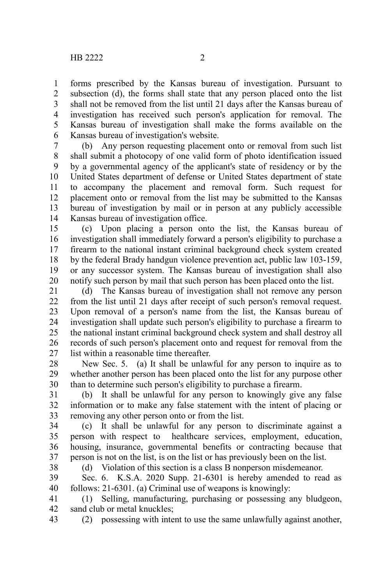forms prescribed by the Kansas bureau of investigation. Pursuant to subsection (d), the forms shall state that any person placed onto the list shall not be removed from the list until 21 days after the Kansas bureau of investigation has received such person's application for removal. The Kansas bureau of investigation shall make the forms available on the Kansas bureau of investigation's website. 1 2 3 4 5 6

(b) Any person requesting placement onto or removal from such list shall submit a photocopy of one valid form of photo identification issued by a governmental agency of the applicant's state of residency or by the United States department of defense or United States department of state to accompany the placement and removal form. Such request for placement onto or removal from the list may be submitted to the Kansas bureau of investigation by mail or in person at any publicly accessible Kansas bureau of investigation office. 7 8 9 10 11 12 13 14

(c) Upon placing a person onto the list, the Kansas bureau of investigation shall immediately forward a person's eligibility to purchase a firearm to the national instant criminal background check system created by the federal Brady handgun violence prevention act, public law 103-159, or any successor system. The Kansas bureau of investigation shall also notify such person by mail that such person has been placed onto the list. 15 16 17 18 19 20

(d) The Kansas bureau of investigation shall not remove any person from the list until 21 days after receipt of such person's removal request. Upon removal of a person's name from the list, the Kansas bureau of investigation shall update such person's eligibility to purchase a firearm to the national instant criminal background check system and shall destroy all records of such person's placement onto and request for removal from the list within a reasonable time thereafter. 21 22 23 24 25 26 27

New Sec. 5. (a) It shall be unlawful for any person to inquire as to whether another person has been placed onto the list for any purpose other than to determine such person's eligibility to purchase a firearm. 28 29 30

(b) It shall be unlawful for any person to knowingly give any false information or to make any false statement with the intent of placing or removing any other person onto or from the list. 31 32 33

(c) It shall be unlawful for any person to discriminate against a person with respect to healthcare services, employment, education, housing, insurance, governmental benefits or contracting because that person is not on the list, is on the list or has previously been on the list. 34 35 36 37

38

(d) Violation of this section is a class B nonperson misdemeanor.

Sec. 6. K.S.A. 2020 Supp. 21-6301 is hereby amended to read as follows: 21-6301. (a) Criminal use of weapons is knowingly: 39 40

(1) Selling, manufacturing, purchasing or possessing any bludgeon, sand club or metal knuckles; 41 42

(2) possessing with intent to use the same unlawfully against another, 43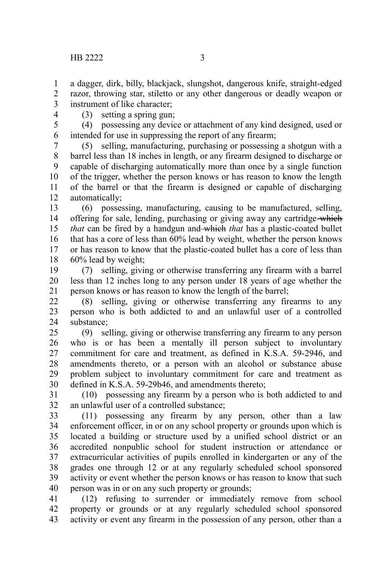4

a dagger, dirk, billy, blackjack, slungshot, dangerous knife, straight-edged razor, throwing star, stiletto or any other dangerous or deadly weapon or instrument of like character; 1 2 3

(3) setting a spring gun;

(4) possessing any device or attachment of any kind designed, used or intended for use in suppressing the report of any firearm; 5 6

(5) selling, manufacturing, purchasing or possessing a shotgun with a barrel less than 18 inches in length, or any firearm designed to discharge or capable of discharging automatically more than once by a single function of the trigger, whether the person knows or has reason to know the length of the barrel or that the firearm is designed or capable of discharging automatically; 7 8 9 10 11 12

(6) possessing, manufacturing, causing to be manufactured, selling, offering for sale, lending, purchasing or giving away any cartridge-which *that* can be fired by a handgun and which *that* has a plastic-coated bullet that has a core of less than 60% lead by weight, whether the person knows or has reason to know that the plastic-coated bullet has a core of less than 60% lead by weight; 13 14 15 16 17 18

(7) selling, giving or otherwise transferring any firearm with a barrel less than 12 inches long to any person under 18 years of age whether the person knows or has reason to know the length of the barrel; 19 20 21

(8) selling, giving or otherwise transferring any firearms to any person who is both addicted to and an unlawful user of a controlled substance; 22 23 24

(9) selling, giving or otherwise transferring any firearm to any person who is or has been a mentally ill person subject to involuntary commitment for care and treatment, as defined in K.S.A. 59-2946, and amendments thereto, or a person with an alcohol or substance abuse problem subject to involuntary commitment for care and treatment as defined in K.S.A. 59-29b46, and amendments thereto; 25 26 27 28 29 30

(10) possessing any firearm by a person who is both addicted to and an unlawful user of a controlled substance; 31 32

(11) possessing any firearm by any person, other than a law enforcement officer, in or on any school property or grounds upon which is located a building or structure used by a unified school district or an accredited nonpublic school for student instruction or attendance or extracurricular activities of pupils enrolled in kindergarten or any of the grades one through 12 or at any regularly scheduled school sponsored activity or event whether the person knows or has reason to know that such person was in or on any such property or grounds; 33 34 35 36 37 38 39 40

(12) refusing to surrender or immediately remove from school property or grounds or at any regularly scheduled school sponsored activity or event any firearm in the possession of any person, other than a 41 42 43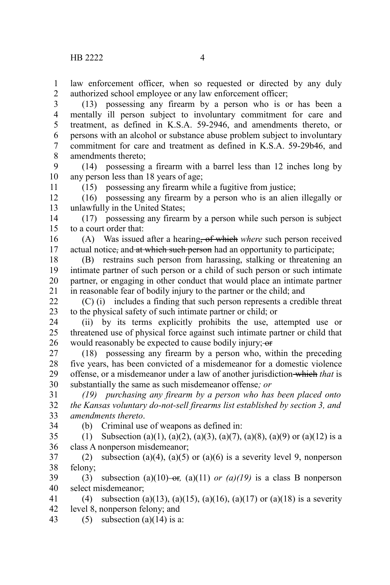11

law enforcement officer, when so requested or directed by any duly authorized school employee or any law enforcement officer; 1 2

(13) possessing any firearm by a person who is or has been a mentally ill person subject to involuntary commitment for care and treatment, as defined in K.S.A. 59-2946, and amendments thereto, or persons with an alcohol or substance abuse problem subject to involuntary commitment for care and treatment as defined in K.S.A. 59-29b46, and amendments thereto; 3 4 5 6 7 8

(14) possessing a firearm with a barrel less than 12 inches long by any person less than 18 years of age; 9 10

(15) possessing any firearm while a fugitive from justice;

(16) possessing any firearm by a person who is an alien illegally or unlawfully in the United States; 12 13

(17) possessing any firearm by a person while such person is subject to a court order that: 14 15

(A) Was issued after a hearing, of which *where* such person received actual notice, and at which such person had an opportunity to participate; 16 17

(B) restrains such person from harassing, stalking or threatening an intimate partner of such person or a child of such person or such intimate partner, or engaging in other conduct that would place an intimate partner in reasonable fear of bodily injury to the partner or the child; and 18 19 20 21

(C) (i) includes a finding that such person represents a credible threat to the physical safety of such intimate partner or child; or 22 23

(ii) by its terms explicitly prohibits the use, attempted use or threatened use of physical force against such intimate partner or child that would reasonably be expected to cause bodily injury: or 24 25 26

(18) possessing any firearm by a person who, within the preceding five years, has been convicted of a misdemeanor for a domestic violence offense, or a misdemeanor under a law of another jurisdiction which *that* is substantially the same as such misdemeanor offense*; or* 27 28 29 30

*(19) purchasing any firearm by a person who has been placed onto the Kansas voluntary do-not-sell firearms list established by section 3, and amendments thereto*. 31 32 33 34

(b) Criminal use of weapons as defined in:

(1) Subsection (a)(1), (a)(2), (a)(3), (a)(7), (a)(8), (a)(9) or (a)(12) is a class A nonperson misdemeanor; 35 36

(2) subsection (a)(4), (a)(5) or (a)(6) is a severity level 9, nonperson felony; 37 38

(3) subsection (a)(10)-or, (a)(11) or  $(a)(19)$  is a class B nonperson select misdemeanor; 39 40

(4) subsection (a)(13), (a)(15), (a)(16), (a)(17) or (a)(18) is a severity level 8, nonperson felony; and 41 42

(5) subsection (a)(14) is a: 43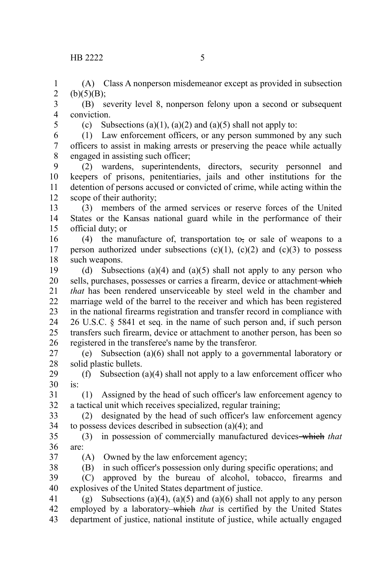(A) Class A nonperson misdemeanor except as provided in subsection  $(b)(5)(B);$ 1 2

(B) severity level 8, nonperson felony upon a second or subsequent conviction. 3 4

5

(c) Subsections (a)(1), (a)(2) and (a)(5) shall not apply to:

(1) Law enforcement officers, or any person summoned by any such officers to assist in making arrests or preserving the peace while actually engaged in assisting such officer; 6 7 8

(2) wardens, superintendents, directors, security personnel and keepers of prisons, penitentiaries, jails and other institutions for the detention of persons accused or convicted of crime, while acting within the scope of their authority; 9 10 11 12

(3) members of the armed services or reserve forces of the United States or the Kansas national guard while in the performance of their official duty; or 13 14 15

(4) the manufacture of, transportation to, or sale of weapons to a person authorized under subsections  $(c)(1)$ ,  $(c)(2)$  and  $(c)(3)$  to possess such weapons. 16 17 18

(d) Subsections (a)(4) and (a)(5) shall not apply to any person who sells, purchases, possesses or carries a firearm, device or attachment which *that* has been rendered unserviceable by steel weld in the chamber and marriage weld of the barrel to the receiver and which has been registered in the national firearms registration and transfer record in compliance with 26 U.S.C. § 5841 et seq. in the name of such person and, if such person transfers such firearm, device or attachment to another person, has been so registered in the transferee's name by the transferor. 19 20 21 22 23 24 25 26

(e) Subsection (a)(6) shall not apply to a governmental laboratory or solid plastic bullets. 27 28

(f) Subsection (a)(4) shall not apply to a law enforcement officer who is: 29 30

(1) Assigned by the head of such officer's law enforcement agency to a tactical unit which receives specialized, regular training; 31 32

(2) designated by the head of such officer's law enforcement agency to possess devices described in subsection (a)(4); and 33 34

(3) in possession of commercially manufactured devices which *that* are: 35 36

37 38

(A) Owned by the law enforcement agency;

(B) in such officer's possession only during specific operations; and

(C) approved by the bureau of alcohol, tobacco, firearms and explosives of the United States department of justice. 39 40

(g) Subsections (a)(4), (a)(5) and (a)(6) shall not apply to any person employed by a laboratory which *that* is certified by the United States department of justice, national institute of justice, while actually engaged 41 42 43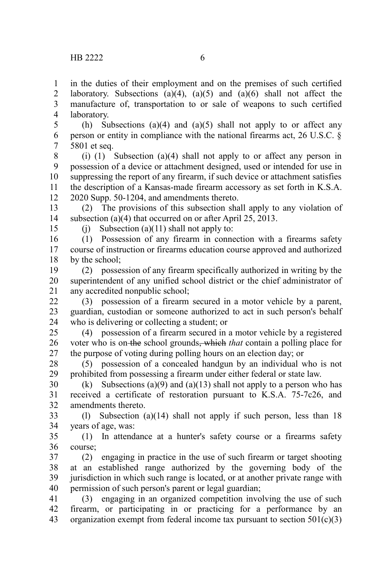in the duties of their employment and on the premises of such certified laboratory. Subsections  $(a)(4)$ ,  $(a)(5)$  and  $(a)(6)$  shall not affect the manufacture of, transportation to or sale of weapons to such certified laboratory. 1 2 3 4

(h) Subsections (a)(4) and (a)(5) shall not apply to or affect any person or entity in compliance with the national firearms act, 26 U.S.C. § 5801 et seq. 5 6 7

(i) (1) Subsection (a)(4) shall not apply to or affect any person in possession of a device or attachment designed, used or intended for use in suppressing the report of any firearm, if such device or attachment satisfies the description of a Kansas-made firearm accessory as set forth in K.S.A. 2020 Supp. 50-1204, and amendments thereto. 8 9 10 11 12

(2) The provisions of this subsection shall apply to any violation of subsection (a)(4) that occurred on or after April 25, 2013. 13 14

15

(i) Subsection (a)(11) shall not apply to:

(1) Possession of any firearm in connection with a firearms safety course of instruction or firearms education course approved and authorized by the school; 16 17 18

(2) possession of any firearm specifically authorized in writing by the superintendent of any unified school district or the chief administrator of any accredited nonpublic school; 19 20 21

(3) possession of a firearm secured in a motor vehicle by a parent, guardian, custodian or someone authorized to act in such person's behalf who is delivering or collecting a student; or  $22$ 23 24

(4) possession of a firearm secured in a motor vehicle by a registered voter who is on the school grounds, which *that* contain a polling place for the purpose of voting during polling hours on an election day; or 25 26 27

(5) possession of a concealed handgun by an individual who is not prohibited from possessing a firearm under either federal or state law. 28 29

(k) Subsections (a)(9) and (a)(13) shall not apply to a person who has received a certificate of restoration pursuant to K.S.A. 75-7c26, and amendments thereto. 30 31 32

(l) Subsection (a)(14) shall not apply if such person, less than 18 years of age, was: 33 34

(1) In attendance at a hunter's safety course or a firearms safety course; 35 36

(2) engaging in practice in the use of such firearm or target shooting at an established range authorized by the governing body of the jurisdiction in which such range is located, or at another private range with permission of such person's parent or legal guardian; 37 38 39 40

(3) engaging in an organized competition involving the use of such firearm, or participating in or practicing for a performance by an organization exempt from federal income tax pursuant to section  $501(c)(3)$ 41 42 43